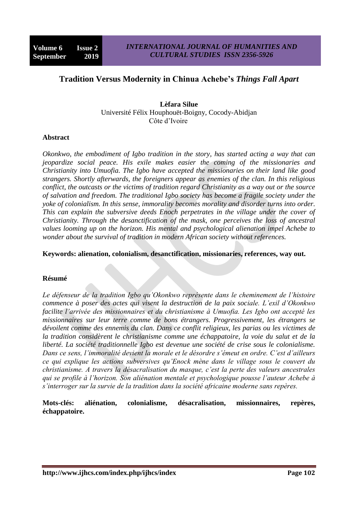# **Tradition Versus Modernity in Chinua Achebe's** *Things Fall Apart*

**Lèfara Silue**  Université Félix Houphouët-Boigny, Cocody-Abidjan Côte d"Ivoire

### **Abstract**

*Okonkwo, the embodiment of Igbo tradition in the story, has started acting a way that can jeopardize social peace. His exile makes easier the coming of the missionaries and Christianity into Umuofia. The Igbo have accepted the missionaries on their land like good strangers. Shortly afterwards, the foreigners appear as enemies of the clan. In this religious conflict, the outcasts or the victims of tradition regard Christianity as a way out or the source of salvation and freedom. The traditional Igbo society has become a fragile society under the yoke of colonialism. In this sense, immorality becomes morality and disorder turns into order. This can explain the subversive deeds Enoch perpetrates in the village under the cover of Christianity. Through the desanctification of the mask, one perceives the loss of ancestral values looming up on the horizon. His mental and psychological alienation impel Achebe to wonder about the survival of tradition in modern African society without references.*

**Keywords: alienation, colonialism, desanctification, missionaries, references, way out.**

### **Résumé**

*Le défenseur de la tradition Igbo qu'Okonkwo représente dans le cheminement de l'histoire commence à poser des actes qui visent la destruction de la paix sociale. L'exil d'Okonkwo facilite l'arrivée des missionnaires et du christianisme à Umuofia. Les Igbo ont accepté les missionnaires sur leur terre comme de bons étrangers. Progressivement, les étrangers se dévoilent comme des ennemis du clan. Dans ce conflit religieux, les parias ou les victimes de la tradition considèrent le christianisme comme une échappatoire, la voie du salut et de la liberté. La société traditionnelle Igbo est devenue une société de crise sous le colonialisme. Dans ce sens, l'immoralité devient la morale et le désordre s'émeut en ordre. C'est d'ailleurs ce qui explique les actions subversives qu'Enock mène dans le village sous le couvert du christianisme. A travers la désacralisation du masque, c'est la perte des valeurs ancestrales qui se profile à l'horizon. Son aliénation mentale et psychologique pousse l'auteur Achebe à s'interroger sur la survie de la tradition dans la société africaine moderne sans repères.*

**Mots-clés: aliénation, colonialisme, désacralisation, missionnaires, repères, échappatoire.**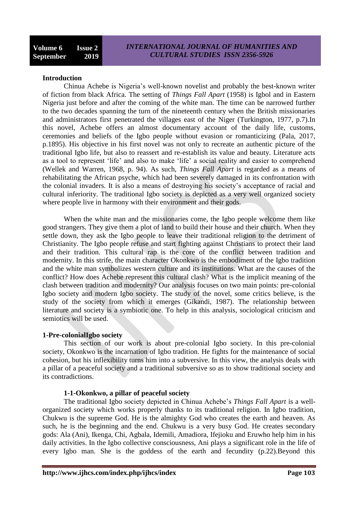#### **Introduction**

Chinua Achebe is Nigeria"s well-known novelist and probably the best-known writer of fiction from black Africa. The setting of *Things Fall Apart* (1958) is Igbol and in Eastern Nigeria just before and after the coming of the white man. The time can be narrowed further to the two decades spanning the turn of the nineteenth century when the British missionaries and administrators first penetrated the villages east of the Niger (Turkington, 1977, p.7).In this novel, Achebe offers an almost documentary account of the daily life, customs, ceremonies and beliefs of the Igbo people without evasion or romanticizing (Pala, 2017, p.1895). His objective in his first novel was not only to recreate an authentic picture of the traditional Igbo life, but also to reassert and re-establish its value and beauty. Literature acts as a tool to represent "life" and also to make "life" a social reality and easier to comprehend (Wellek and Warren, 1968, p. 94). As such, *Things Fall Apart* is regarded as a means of rehabilitating the African psyche, which had been severely damaged in its confrontation with the colonial invaders. It is also a means of destroying his society"s acceptance of racial and cultural inferiority. The traditional Igbo society is depicted as a very well organized society where people live in harmony with their environment and their gods.

When the white man and the missionaries come, the Igbo people welcome them like good strangers. They give them a plot of land to build their house and their church. When they settle down, they ask the Igbo people to leave their traditional religion to the detriment of Christianity. The Igbo people refuse and start fighting against Christians to protect their land and their tradition. This cultural rap is the core of the conflict between tradition and modernity. In this strife, the main character Okonkwo is the embodiment of the Igbo tradition and the white man symbolizes western culture and its institutions. What are the causes of the conflict? How does Achebe represent this cultural clash? What is the implicit meaning of the clash between tradition and modernity? Our analysis focuses on two main points: pre-colonial Igbo society and modern Igbo society. The study of the novel, some critics believe, is the study of the society from which it emerges (Gikandi, 1987). The relationship between literature and society is a symbiotic one. To help in this analysis, sociological criticism and semiotics will be used.

#### **1-Pre-colonialIgbo society**

This section of our work is about pre-colonial Igbo society. In this pre-colonial society, Okonkwo is the incarnation of Igbo tradition. He fights for the maintenance of social cohesion, but his inflexibility turns him into a subversive. In this view, the analysis deals with a pillar of a peaceful society and a traditional subversive so as to show traditional society and its contradictions.

### **1-1-Okonkwo, a pillar of peaceful society**

The traditional Igbo society depicted in Chinua Achebe"s *Things Fall Apart* is a wellorganized society which works properly thanks to its traditional religion. In Igbo tradition, Chukwu is the supreme God. He is the almighty God who creates the earth and heaven. As such, he is the beginning and the end. Chukwu is a very busy God. He creates secondary gods: Ala (Ani), Ikenga, Chi, Agbala, Idemili, Amadiora, Ifejioku and Eruwho help him in his daily activities. In the Igbo collective consciousness, Ani plays a significant role in the life of every Igbo man. She is the goddess of the earth and fecundity (p.22).Beyond this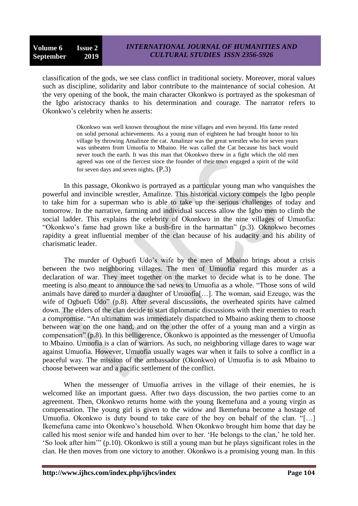classification of the gods, we see class conflict in traditional society. Moreover, moral values such as discipline, solidarity and labor contribute to the maintenance of social cohesion. At the very opening of the book, the main character Okonkwo is portrayed as the spokesman of the Igbo aristocracy thanks to his determination and courage. The narrator refers to Okonkwo"s celebrity when he asserts:

> Okonkwo was well known throughout the mine villages and even beyond. His fame rested on solid personal achievements. As a young man of eighteen he had brought honor to his village by throwing Amalinze the cat. Amalinze was the great wrestler who for seven years was unbeaten from Umuofia to Mbaino. He was called the Cat because his back would never touch the earth. It was this man that Okonkwo threw in a fight which the old men agreed was one of the fiercest since the founder of their town engaged a spirit of the wild for seven days and seven nights. (P.3)

In this passage, Okonkwo is portrayed as a particular young man who vanquishes the powerful and invincible wrestler, Amalinze. This historical victory compels the Igbo people to take him for a superman who is able to take up the serious challenges of today and tomorrow. In the narrative, farming and individual success allow the Igbo men to climb the social ladder. This explains the celebrity of Okonkwo in the nine villages of Umuofia: "Okonkwo"s fame had grown like a bush-fire in the harmattan" (p.3). Oknokwo becomes rapidity a great influential member of the clan because of his audacity and his ability of charismatic leader.

The murder of Ogbuefi Udo"s wife by the men of Mbaino brings about a crisis between the two neighboring villages. The men of Umuofia regard this murder as a declaration of war. They meet together on the market to decide what is to be done. The meeting is also meant to announce the sad news to Umuofia as a whole. "Those sons of wild animals have dared to murder a daughter of Umuofia[…]. The woman, said Ezeugo, was the wife of Ogbuefi Udo" (p.8). After several discussions, the overheated spirits have calmed down. The elders of the clan decide to start diplomatic discussions with their enemies to reach a compromise. "An ultimatum was immediately dispatched to Mbaino asking them to choose between war on the one hand, and on the other the offer of a young man and a virgin as compensation" (p.8). In this belligerence, Okonkwo is appointed as the messenger of Umuofia to Mbaino. Umuofia is a clan of warriors. As such, no neighboring village dares to wage war against Umuofia. However, Umuofia usually wages war when it fails to solve a conflict in a peaceful way. The mission of the ambassador (Okonkwo) of Umuofia is to ask Mbaino to choose between war and a pacific settlement of the conflict.

When the messenger of Umuofia arrives in the village of their enemies, he is welcomed like an important guess. After two days discussion, the two parties come to an agreement. Then, Okonkwo returns home with the young Ikemefuna and a young virgin as compensation. The young girl is given to the widow and Ikemefuna become a hostage of Umuofia. Okonkwo is duty bound to take care of the boy on behalf of the clan. "[…] Ikemefuna came into Okonkwo"s household. When Okonkwo brought him home that day he called his most senior wife and handed him over to her. "He belongs to the clan," he told her. "So look after him"" (p.10). Okonkwo is still a young man but he plays significant roles in the clan. He then moves from one victory to another. Okonkwo is a promising young man. In this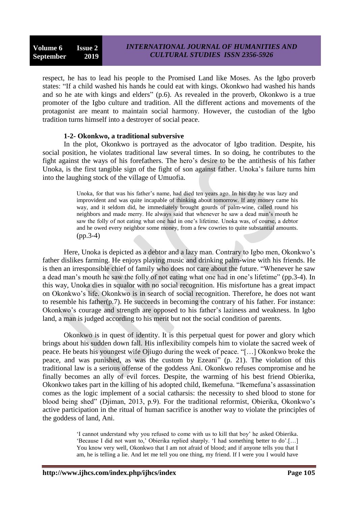respect, he has to lead his people to the Promised Land like Moses. As the Igbo proverb states: "If a child washed his hands he could eat with kings. Okonkwo had washed his hands and so he ate with kings and elders" (p.6). As revealed in the proverb, Okonkwo is a true promoter of the Igbo culture and tradition. All the different actions and movements of the protagonist are meant to maintain social harmony. However, the custodian of the Igbo tradition turns himself into a destroyer of social peace.

### **1-2- Okonkwo, a traditional subversive**

In the plot, Okonkwo is portrayed as the advocator of Igbo tradition. Despite, his social position, he violates traditional law several times. In so doing, he contributes to the fight against the ways of his forefathers. The hero"s desire to be the antithesis of his father Unoka, is the first tangible sign of the fight of son against father. Unoka"s failure turns him into the laughing stock of the village of Umuofia.

> Unoka, for that was his father"s name, had died ten years ago. In his day he was lazy and improvident and was quite incapable of thinking about tomorrow. If any money came his way, and it seldom did, he immediately brought gourds of palm-wine, called round his neighbors and made merry. He always said that whenever he saw a dead man"s mouth he saw the folly of not eating what one had in one"s lifetime. Unoka was, of course, a debtor and he owed every neighbor some money, from a few cowries to quite substantial amounts. (pp.3-4)

Here, Unoka is depicted as a debtor and a lazy man. Contrary to Igbo men, Okonkwo"s father dislikes farming. He enjoys playing music and drinking palm-wine with his friends. He is then an irresponsible chief of family who does not care about the future. "Whenever he saw a dead man"s mouth he saw the folly of not eating what one had in one"s lifetime" (pp.3-4). In this way, Unoka dies in squalor with no social recognition. His misfortune has a great impact on Okonkwo"s life. Okonkwo is in search of social recognition. Therefore, he does not want to resemble his father(p.7). He succeeds in becoming the contrary of his father. For instance: Okonkwo"s courage and strength are opposed to his father"s laziness and weakness. In Igbo land, a man is judged according to his merit but not the social condition of parents.

Okonkwo is in quest of identity. It is this perpetual quest for power and glory which brings about his sudden down fall. His inflexibility compels him to violate the sacred week of peace. He beats his youngest wife Ojiugo during the week of peace. "[…] Okonkwo broke the peace, and was punished, as was the custom by Ezeani" (p. 21). The violation of this traditional law is a serious offense of the goddess Ani. Okonkwo refuses compromise and he finally becomes an ally of evil forces. Despite, the warming of his best friend Obierika, Okonkwo takes part in the killing of his adopted child, Ikemefuna. "Ikemefuna"s assassination comes as the logic implement of a social catharsis: the necessity to shed blood to stone for blood being shed" (Djiman, 2013, p.9). For the traditional reformist, Obierika, Okonkwo"s active participation in the ritual of human sacrifice is another way to violate the principles of the goddess of land, Ani.

> "I cannot understand why you refused to come with us to kill that boy" he asked Obierika. 'Because I did not want to,' Obierika replied sharply. 'I had something better to do'.[...] You know very well, Okonkwo that I am not afraid of blood; and if anyone tells you that I am, he is telling a lie. And let me tell you one thing, my friend. If I were you I would have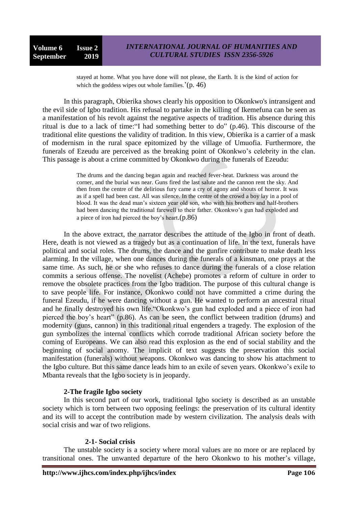stayed at home. What you have done will not please, the Earth. It is the kind of action for which the goddess wipes out whole families.' $(p. 46)$ 

In this paragraph, Obierika shows clearly his opposition to Okonkwo's intransigent and the evil side of Igbo tradition. His refusal to partake in the killing of Ikemefuna can be seen as a manifestation of his revolt against the negative aspects of tradition. His absence during this ritual is due to a lack of time:"I had something better to do" (p.46). This discourse of the traditional elite questions the validity of tradition. In this view, Obierika is a carrier of a mask of modernism in the rural space epitomized by the village of Umuofia. Furthermore, the funerals of Ezeudu are perceived as the breaking point of Okonkwo's celebrity in the clan. This passage is about a crime committed by Okonkwo during the funerals of Ezeudu:

> The drums and the dancing began again and reached fever-heat. Darkness was around the corner, and the burial was near. Guns fired the last salute and the cannon rent the sky. And then from the centre of the delirious fury came a cry of agony and shouts of horror. It was as if a spell had been cast. All was silence. In the centre of the crowd a boy lay in a pool of blood. It was the dead man"s sixteen year old son, who with his brothers and half-brothers had been dancing the traditional farewell to their father. Okonkwo"s gun had exploded and a piece of iron had pierced the boy"s heart.(p.86)

In the above extract, the narrator describes the attitude of the Igbo in front of death. Here, death is not viewed as a tragedy but as a continuation of life. In the text, funerals have political and social roles. The drums, the dance and the gunfire contribute to make death less alarming. In the village, when one dances during the funerals of a kinsman, one prays at the same time. As such, he or she who refuses to dance during the funerals of a close relation commits a serious offense. The novelist (Achebe) promotes a reform of culture in order to remove the obsolete practices from the Igbo tradition. The purpose of this cultural change is to save people life. For instance, Okonkwo could not have committed a crime during the funeral Ezeudu, if he were dancing without a gun. He wanted to perform an ancestral ritual and he finally destroyed his own life."Okonkwo"s gun had exploded and a piece of iron had pierced the boy"s heart" (p.86). As can be seen, the conflict between tradition (drums) and modernity (guns, cannon) in this traditional ritual engenders a tragedy. The explosion of the gun symbolizes the internal conflicts which corrode traditional African society before the coming of Europeans. We can also read this explosion as the end of social stability and the beginning of social anomy. The implicit of text suggests the preservation this social manifestation (funerals) without weapons. Okonkwo was dancing to show his attachment to the Igbo culture. But this same dance leads him to an exile of seven years. Okonkwo"s exile to Mbanta reveals that the Igbo society is in jeopardy.

## **2-The fragile Igbo society**

In this second part of our work, traditional Igbo society is described as an unstable society which is torn between two opposing feelings: the preservation of its cultural identity and its will to accept the contribution made by western civilization. The analysis deals with social crisis and war of two religions.

### **2-1- Social crisis**

The unstable society is a society where moral values are no more or are replaced by transitional ones. The unwanted departure of the hero Okonkwo to his mother"s village,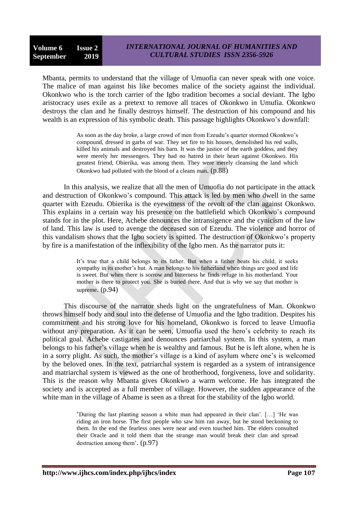Mbanta, permits to understand that the village of Umuofia can never speak with one voice. The malice of man against his like becomes malice of the society against the individual. Okonkwo who is the torch carrier of the Igbo tradition becomes a social deviant. The Igbo aristocracy uses exile as a pretext to remove all traces of Okonkwo in Umufia. Okonkwo destroys the clan and he finally destroys himself. The destruction of his compound and his wealth is an expression of his symbolic death. This passage highlights Okonkwo's downfall:

> As soon as the day broke, a large crowd of men from Ezeudu"s quarter stormed Okonkwo"s compound, dressed in garbs of war. They set fire to his houses, demolished his red walls, killed his animals and destroyed his barn. It was the justice of the earth goddess, and they were merely her messengers. They had no hatred in their heart against Okonkwo. His greatest friend, Obierika, was among them. They were merely cleansing the land which Okonkwo had polluted with the blood of a cleans man. (p.88)

In this analysis, we realize that all the men of Umuofia do not participate in the attack and destruction of Okonkwo"s compound. This attack is led by men who dwell in the same quarter with Ezeudu. Obierika is the eyewitness of the revolt of the clan against Okonkwo. This explains in a certain way his presence on the battlefield which Okonkwo"s compound stands for in the plot. Here, Achebe denounces the intransigence and the cynicism of the law of land. This law is used to avenge the deceased son of Ezeudu. The violence and horror of this vandalism shows that the Igbo society is spitted. The destruction of Okonkwo"s property by fire is a manifestation of the inflexibility of the Igbo men. As the narrator puts it:

> It's true that a child belongs to its father. But when a father beats his child, it seeks sympathy in its mother"s hut. A man belongs to his fatherland when things are good and life is sweet. But when there is sorrow and bitterness he finds refuge in his motherland. Your mother is there to protect you. She is buried there. And that is why we say that mother is supreme. (p.94)

This discourse of the narrator sheds light on the ungratefulness of Man. Okonkwo throws himself body and soul into the defense of Umuofia and the Igbo tradition. Despites his commitment and his strong love for his homeland, Okonkwo is forced to leave Umuofia without any preparation. As it can be seen, Umuofia used the hero's celebrity to reach its political goal. Achebe castigates and denounces patriarchal system. In this system, a man belongs to his father"s village when he is wealthy and famous. But he is left alone, when he is in a sorry plight. As such, the mother"s village is a kind of asylum where one"s is welcomed by the beloved ones. In the text, patriarchal system is regarded as a system of intransigence and matriarchal system is viewed as the one of brotherhood, forgiveness, love and solidarity. This is the reason why Mbanta gives Okonkwo a warm welcome. He has integrated the society and is accepted as a full member of village. However, the sudden appearance of the white man in the village of Abame is seen as a threat for the stability of the Igbo world.

> "During the last planting season a white man had appeared in their clan". […] "He was riding an iron horse. The first people who saw him ran away, but he stood beckoning to them. In the end the fearless ones were near and even touched him. The elders consulted their Oracle and it told them that the strange man would break their clan and spread destruction among them". (p.97)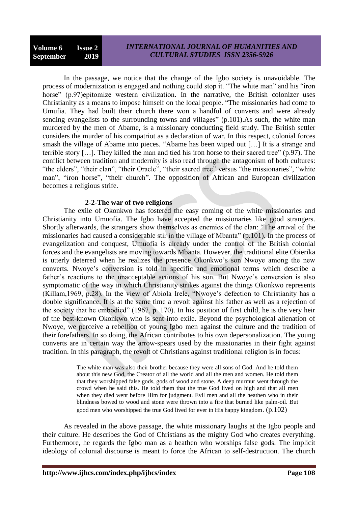In the passage, we notice that the change of the Igbo society is unavoidable. The process of modernization is engaged and nothing could stop it. "The white man" and his "iron horse" (p.97)epitomize western civilization. In the narrative, the British colonizer uses Christianity as a means to impose himself on the local people. "The missionaries had come to Umufia. They had built their church there won a handful of converts and were already sending evangelists to the surrounding towns and villages" (p.101). As such, the white man murdered by the men of Abame, is a missionary conducting field study. The British settler considers the murder of his compatriot as a declaration of war. In this respect, colonial forces smash the village of Abame into pieces. "Abame has been wiped out […] It is a strange and terrible story […]. They killed the man and tied his iron horse to their sacred tree" (p.97). The conflict between tradition and modernity is also read through the antagonism of both cultures: "the elders", "their clan", "their Oracle", "their sacred tree" versus "the missionaries", "white man", "iron horse", "their church". The opposition of African and European civilization becomes a religious strife.

### **2-2-The war of two religions**

The exile of Okonkwo has fostered the easy coming of the white missionaries and Christianity into Umuofia. The Igbo have accepted the missionaries like good strangers. Shortly afterwards, the strangers show themselves as enemies of the clan: "The arrival of the missionaries had caused a considerable stir in the village of Mbanta" (p.101). In the process of evangelization and conquest, Umuofia is already under the control of the British colonial forces and the evangelists are moving towards Mbanta. However, the traditional elite Obierika is utterly deterred when he realizes the presence Okonkwo"s son Nwoye among the new converts. Nwoye"s conversion is told in specific and emotional terms which describe a father's reactions to the unacceptable actions of his son. But Nwoye's conversion is also symptomatic of the way in which Christianity strikes against the things Okonkwo represents (Killam,1969, p.28). In the view of Abiola Irele, "Nwoye"s defection to Christianity has a double significance. It is at the same time a revolt against his father as well as a rejection of the society that he embodied" (1967, p. 170). In his position of first child, he is the very heir of the best-known Okonkwo who is sent into exile. Beyond the psychological alienation of Nwoye, we perceive a rebellion of young Igbo men against the culture and the tradition of their forefathers. In so doing, the African contributes to his own depersonalization. The young converts are in certain way the arrow-spears used by the missionaries in their fight against tradition. In this paragraph, the revolt of Christians against traditional religion is in focus:

> The white man was also their brother because they were all sons of God. And he told them about this new God, the Creator of all the world and all the men and women. He told them that they worshipped false gods, gods of wood and stone. A deep murmur went through the crowd when he said this. He told them that the true God lived on high and that all men when they died went before Him for judgment. Evil men and all the heathen who in their blindness bowed to wood and stone were thrown into a fire that burned like palm-oil. But good men who worshipped the true God lived for ever in His happy kingdom. (p.102)

As revealed in the above passage, the white missionary laughs at the Igbo people and their culture. He describes the God of Christians as the mighty God who creates everything. Furthermore, he regards the Igbo man as a heathen who worships false gods. The implicit ideology of colonial discourse is meant to force the African to self-destruction. The church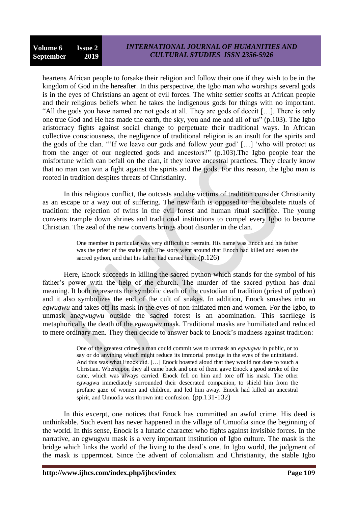heartens African people to forsake their religion and follow their one if they wish to be in the kingdom of God in the hereafter. In this perspective, the Igbo man who worships several gods is in the eyes of Christians an agent of evil forces. The white settler scoffs at African people and their religious beliefs when he takes the indigenous gods for things with no important. "All the gods you have named are not gods at all. They are gods of deceit […]. There is only one true God and He has made the earth, the sky, you and me and all of us" (p.103). The Igbo aristocracy fights against social change to perpetuate their traditional ways. In African collective consciousness, the negligence of traditional religion is an insult for the spirits and the gods of the clan. ""If we leave our gods and follow your god" […] "who will protect us from the anger of our neglected gods and ancestors?" (p.103).The Igbo people fear the misfortune which can befall on the clan, if they leave ancestral practices. They clearly know that no man can win a fight against the spirits and the gods. For this reason, the Igbo man is rooted in tradition despites threats of Christianity.

In this religious conflict, the outcasts and the victims of tradition consider Christianity as an escape or a way out of suffering. The new faith is opposed to the obsolete rituals of tradition: the rejection of twins in the evil forest and human ritual sacrifice. The young converts trample down shrines and traditional institutions to compel every Igbo to become Christian. The zeal of the new converts brings about disorder in the clan.

> One member in particular was very difficult to restrain. His name was Enoch and his father was the priest of the snake cult. The story went around that Enoch had killed and eaten the sacred python, and that his father had cursed him.  $(p.126)$

Here, Enock succeeds in killing the sacred python which stands for the symbol of his father's power with the help of the church. The murder of the sacred python has dual meaning. It both represents the symbolic death of the custodian of tradition (priest of python) and it also symbolizes the end of the cult of snakes. In addition, Enock smashes into an *egwugwu* and takes off its mask in the eyes of non-initiated men and women. For the Igbo, to unmask an*egwugwu* outside the sacred forest is an abomination. This sacrilege is metaphorically the death of the *egwugwu* mask. Traditional masks are humiliated and reduced to mere ordinary men. They then decide to answer back to Enock"s madness against tradition:

> One of the greatest crimes a man could commit was to unmask an *egwugwu* in public, or to say or do anything which might reduce its immortal prestige in the eyes of the uninitiated. And this was what Enock did. […] Enock boasted aloud that they would not dare to touch a Christian. Whereupon they all came back and one of them gave Enock a good stroke of the cane, which was always carried. Enock fell on him and tore off his mask. The other *egwugwu* immediately surrounded their desecrated companion, to shield him from the profane gaze of women and children, and led him away. Enock had killed an ancestral spirit, and Umuofia was thrown into confusion. (pp.131-132)

In this excerpt, one notices that Enock has committed an awful crime. His deed is unthinkable. Such event has never happened in the village of Umuofia since the beginning of the world. In this sense, Enock is a lunatic character who fights against invisible forces. In the narrative, an egwugwu mask is a very important institution of Igbo culture. The mask is the bridge which links the world of the living to the dead"s one. In Igbo world, the judgment of the mask is uppermost. Since the advent of colonialism and Christianity, the stable Igbo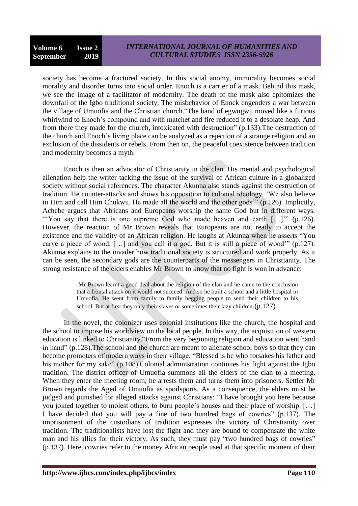## *INTERNATIONAL JOURNAL OF HUMANITIES AND CULTURAL STUDIES ISSN 2356-5926*

society has become a fractured society. In this social anomy, immorality becomes social morality and disorder turns into social order. Enoch is a carrier of a mask. Behind this mask, we see the image of a facilitator of modernity. The death of the mask also epitomizes the downfall of the Igbo traditional society. The misbehavior of Enock engenders a war between the village of Umuofia and the Christian church."The band of egwugwu moved like a furious whirlwind to Enoch's compound and with matchet and fire reduced it to a desolate heap. And from there they made for the church, intoxicated with destruction" (p.133).The destruction of the church and Enoch"s living place can be analyzed as a rejection of a strange religion and an exclusion of the dissidents or rebels. From then on, the peaceful coexistence between tradition and modernity becomes a myth.

Enoch is then an advocator of Christianity in the clan. His mental and psychological alienation help the writer tacking the issue of the survival of African culture in a globalized society without social references. The character Akunna also stands against the destruction of tradition. He counter-attacks and shows his opposition to colonial ideology. "We also believe in Him and call Him Chukwu. He made all the world and the other gods"" (p.126). Implicitly, Achebe argues that Africans and Europeans worship the same God but in different ways. "You say that there is one supreme God who made heaven and earth [...]" (p.126). However, the reaction of Mr Brown reveals that Europeans are not ready to accept the existence and the validity of an African religion. He laughs at Akunna when he asserts "You carve a piece of wood. […] and you call it a god. But it is still a piece of wood"" (p.127). Akunna explains to the invader how traditional society is structured and work properly. As it can be seen, the secondary gods are the counterparts of the messengers in Christianity. The strong resistance of the elders enables Mr Brown to know that no fight is won in advance:

> Mr Brown learnt a good deal about the religion of the clan and he came to the conclusion that a frontal attack on it would not succeed. And so he built a school and a little hospital in Umuofia. He went from family to family begging people to send their children to his school. But at first they only their slaves or sometimes their lazy children.(p.127)

In the novel, the colonizer uses colonial institutions like the church, the hospital and the school to impose his worldview on the local people. In this way, the acquisition of western education is linked to Christianity."From the very beginning religion and education went hand in hand" (p.128).The school and the church are meant to alienate school boys so that they can become promoters of modern ways in their village. "Blessed is he who forsakes his father and his mother for my sake" (p.108).Colonial administration continues his fight against the Igbo tradition. The district officer of Umuofia summons all the elders of the clan to a meeting. When they enter the meeting room, he arrests them and turns them into prisoners. Settler Mr Brown regards the Aged of Umuofia as spoilsports. As a consequence, the elders must be judged and punished for alleged attacks against Christians: "I have brought you here because you joined together to molest others, to burn people"s houses and their place of worship. […] I have decided that you will pay a fine of two hundred bags of cowries" (p.137). The imprisonment of the custodians of tradition expresses the victory of Christianity over tradition. The traditionalists have lost the fight and they are bound to compensate the white man and his allies for their victory. As such, they must pay "two hundred bags of cowries" (p.137). Here, cowries refer to the money African people used at that specific moment of their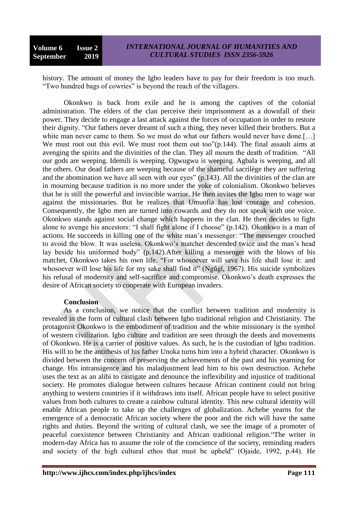history. The amount of money the Igbo leaders have to pay for their freedom is too much. "Two hundred bags of cowries" is beyond the reach of the villagers.

Okonkwo is back from exile and he is among the captives of the colonial administration. The elders of the clan perceive their imprisonment as a downfall of their power. They decide to engage a last attack against the forces of occupation in order to restore their dignity. "Our fathers never dreamt of such a thing, they never killed their brothers. But a white man never came to them. So we must do what our fathers would never have done.[...] We must root out this evil. We must root them out too"(p.144). The final assault aims at avenging the spirits and the divinities of the clan. They all mourn the death of tradition. "All our gods are weeping. Idemili is weeping. Ogwugwu is weeping. Agbala is weeping, and all the others. Our dead fathers are weeping because of the shameful sacrilège they are suffering and the abomination we have all seen with our eyes" (p.143). All the divinities of the clan are in mourning because tradition is no more under the yoke of colonialism. Okonkwo believes that he is still the powerful and invincible warrior. He then invites the Igbo men to wage war against the missionaries. But he realizes that Umuofia has lost courage and cohesion. Consequently, the Igbo men are turned into cowards and they do not speak with one voice. Okonkwo stands against social change which happens in the clan. He then decides to fight alone to avenge his ancestors: "I shall fight alone if I choose" (p.142). Okonkwo is a man of actions. He succeeds in killing one of the white man"s messenger: "The messenger crouched to avoid the blow. It was useless. Okonkwo"s matchet descended twice and the man"s head lay beside his uniformed body" (p.142).After killing a messenger with the blows of his matchet, Okonkwo takes his own life. "For whosoever will save his life shall lose it: and whosoever will lose his life for my sake shall find it" (Ngǔgǐ, 1967). His suicide symbolizes his refusal of modernity and self-sacrifice and compromise. Okonkwo's death expresses the desire of African society to cooperate with European invaders.

### **Conclusion**

As a conclusion, we notice that the conflict between tradition and modernity is revealed in the form of cultural clash between Igbo traditional religion and Christianity. The protagonist Okonkwo is the embodiment of tradition and the white missionary is the symbol of western civilization. Igbo culture and tradition are seen through the deeds and movements of Okonkwo. He is a carrier of positive values. As such, he is the custodian of Igbo tradition. His will to be the antithesis of his father Unoka turns him into a hybrid character. Okonkwo is divided between the concern of preserving the achievements of the past and his yearning for change. His intransigence and his maladjustment lead him to his own destruction. Achebe uses the text as an alibi to castigate and denounce the inflexibility and injustice of traditional society. He promotes dialogue between cultures because African continent could not bring anything to western countries if it withdraws into itself. African people have to select positive values from both cultures to create a rainbow cultural identity. This new cultural identity will enable African people to take up the challenges of globalization. Achebe yearns for the emergence of a democratic African society where the poor and the rich will have the same rights and duties. Beyond the writing of cultural clash, we see the image of a promoter of peaceful coexistence between Christianity and African traditional religion."The writer in modern-day Africa has to assume the role of the conscience of the society, reminding readers and society of the high cultural ethos that must be upheld" (Ojaide, 1992, p.44). He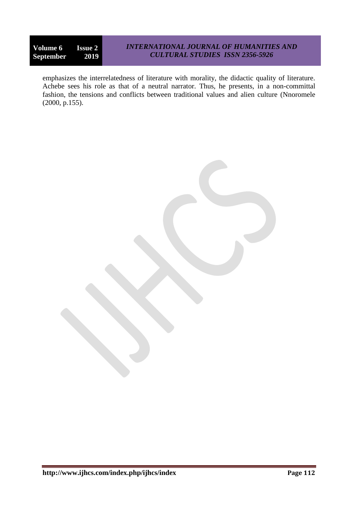## *INTERNATIONAL JOURNAL OF HUMANITIES AND CULTURAL STUDIES ISSN 2356-5926*

emphasizes the interrelatedness of literature with morality, the didactic quality of literature. Achebe sees his role as that of a neutral narrator. Thus, he presents, in a non-committal fashion, the tensions and conflicts between traditional values and alien culture (Nnoromele (2000, p.155).